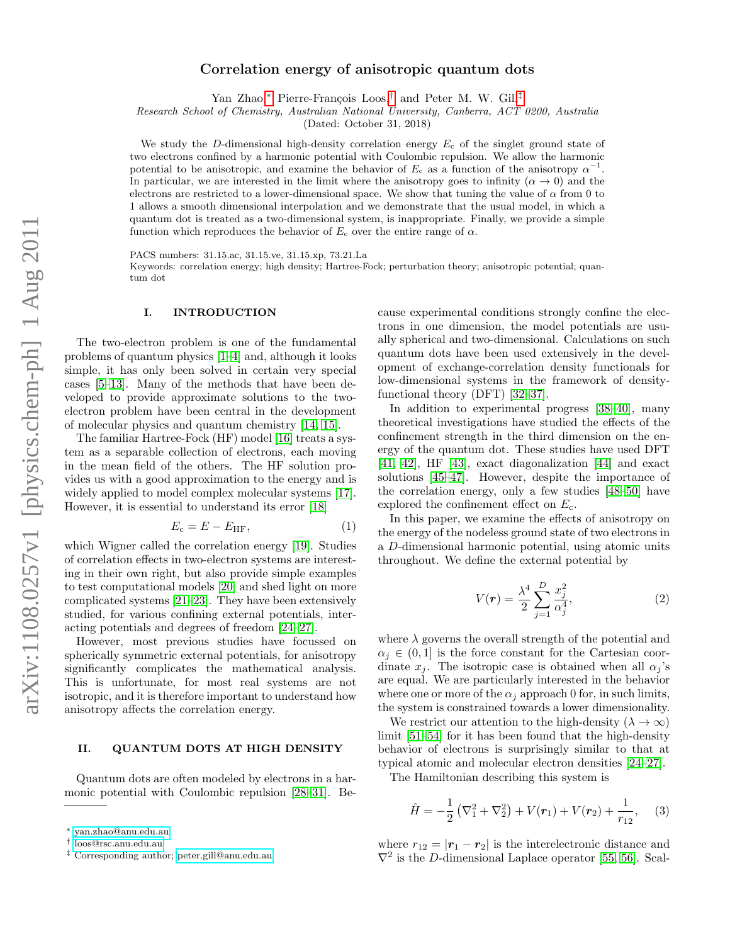# Correlation energy of anisotropic quantum dots

Yan Zhao,<sup>[∗](#page-0-0)</sup> Pierre-François Loos,<sup>[†](#page-0-1)</sup> and Peter M. W. Gill<sup>[‡](#page-0-2)</sup>

Research School of Chemistry, Australian National University, Canberra, ACT 0200, Australia

(Dated: October 31, 2018)

We study the D-dimensional high-density correlation energy  $E_c$  of the singlet ground state of two electrons confined by a harmonic potential with Coulombic repulsion. We allow the harmonic potential to be anisotropic, and examine the behavior of  $E_c$  as a function of the anisotropy  $\alpha^{-1}$ . In particular, we are interested in the limit where the anisotropy goes to infinity ( $\alpha \rightarrow 0$ ) and the electrons are restricted to a lower-dimensional space. We show that tuning the value of  $\alpha$  from 0 to 1 allows a smooth dimensional interpolation and we demonstrate that the usual model, in which a quantum dot is treated as a two-dimensional system, is inappropriate. Finally, we provide a simple function which reproduces the behavior of  $E_c$  over the entire range of  $\alpha$ .

PACS numbers: 31.15.ac, 31.15.ve, 31.15.xp, 73.21.La

Keywords: correlation energy; high density; Hartree-Fock; perturbation theory; anisotropic potential; quantum dot

#### I. INTRODUCTION

The two-electron problem is one of the fundamental problems of quantum physics [\[1–](#page-3-0)[4\]](#page-3-1) and, although it looks simple, it has only been solved in certain very special cases [\[5–](#page-3-2)[13\]](#page-3-3). Many of the methods that have been developed to provide approximate solutions to the twoelectron problem have been central in the development of molecular physics and quantum chemistry [\[14,](#page-3-4) [15\]](#page-3-5).

The familiar Hartree-Fock (HF) model [\[16\]](#page-3-6) treats a system as a separable collection of electrons, each moving in the mean field of the others. The HF solution provides us with a good approximation to the energy and is widely applied to model complex molecular systems [\[17\]](#page-3-7). However, it is essential to understand its error [\[18\]](#page-3-8)

$$
E_{\rm c} = E - E_{\rm HF},\tag{1}
$$

which Wigner called the correlation energy [\[19\]](#page-3-9). Studies of correlation effects in two-electron systems are interesting in their own right, but also provide simple examples to test computational models [\[20\]](#page-3-10) and shed light on more complicated systems [\[21](#page-3-11)[–23\]](#page-4-0). They have been extensively studied, for various confining external potentials, interacting potentials and degrees of freedom [\[24](#page-4-1)[–27\]](#page-4-2).

However, most previous studies have focussed on spherically symmetric external potentials, for anisotropy significantly complicates the mathematical analysis. This is unfortunate, for most real systems are not isotropic, and it is therefore important to understand how anisotropy affects the correlation energy.

## II. QUANTUM DOTS AT HIGH DENSITY

Quantum dots are often modeled by electrons in a harmonic potential with Coulombic repulsion [\[28–](#page-4-3)[31\]](#page-4-4). Be-

cause experimental conditions strongly confine the electrons in one dimension, the model potentials are usually spherical and two-dimensional. Calculations on such quantum dots have been used extensively in the development of exchange-correlation density functionals for low-dimensional systems in the framework of densityfunctional theory (DFT) [\[32](#page-4-5)[–37\]](#page-4-6).

In addition to experimental progress [\[38–](#page-4-7)[40\]](#page-4-8), many theoretical investigations have studied the effects of the confinement strength in the third dimension on the energy of the quantum dot. These studies have used DFT [\[41,](#page-4-9) [42\]](#page-4-10), HF [\[43\]](#page-4-11), exact diagonalization [\[44\]](#page-4-12) and exact solutions [\[45–](#page-4-13)[47\]](#page-4-14). However, despite the importance of the correlation energy, only a few studies [\[48](#page-4-15)[–50\]](#page-4-16) have explored the confinement effect on  $E_c$ .

In this paper, we examine the effects of anisotropy on the energy of the nodeless ground state of two electrons in a D-dimensional harmonic potential, using atomic units throughout. We define the external potential by

$$
V(r) = \frac{\lambda^4}{2} \sum_{j=1}^{D} \frac{x_j^2}{\alpha_j^4},
$$
 (2)

where  $\lambda$  governs the overall strength of the potential and  $\alpha_i \in (0,1]$  is the force constant for the Cartesian coordinate  $x_i$ . The isotropic case is obtained when all  $\alpha_i$ 's are equal. We are particularly interested in the behavior where one or more of the  $\alpha_i$  approach 0 for, in such limits, the system is constrained towards a lower dimensionality.

We restrict our attention to the high-density ( $\lambda \to \infty$ ) limit [\[51–](#page-4-17)[54\]](#page-4-18) for it has been found that the high-density behavior of electrons is surprisingly similar to that at typical atomic and molecular electron densities [\[24–](#page-4-1)[27\]](#page-4-2).

The Hamiltonian describing this system is

$$
\hat{H} = -\frac{1}{2} \left( \nabla_1^2 + \nabla_2^2 \right) + V(r_1) + V(r_2) + \frac{1}{r_{12}}, \quad (3)
$$

where  $r_{12} = |\mathbf{r}_1 - \mathbf{r}_2|$  is the interelectronic distance and  $\nabla^2$  is the D-dimensional Laplace operator [\[55,](#page-4-19) [56\]](#page-4-20). Scal-

<span id="page-0-0"></span><sup>∗</sup> [yan.zhao@anu.edu.au](mailto:yan.zhao@anu.edu.au)

<span id="page-0-1"></span><sup>†</sup> [loos@rsc.anu.edu.au](mailto:loos@rsc.anu.edu.au)

<span id="page-0-2"></span><sup>‡</sup> Corresponding author; [peter.gill@anu.edu.au](mailto:peter.gill@anu.edu.au)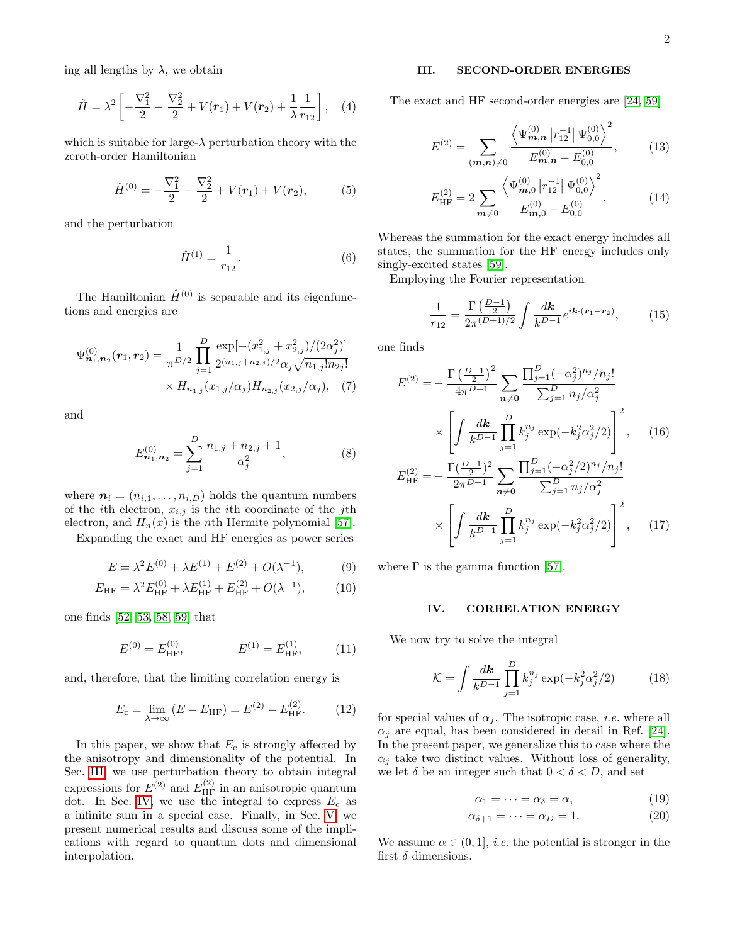ing all lengths by  $\lambda$ , we obtain

<span id="page-1-5"></span>
$$
\hat{H} = \lambda^2 \left[ -\frac{\nabla_1^2}{2} - \frac{\nabla_2^2}{2} + V(r_1) + V(r_2) + \frac{1}{\lambda} \frac{1}{r_{12}} \right], \quad (4)
$$

which is suitable for large- $\lambda$  perturbation theory with the zeroth-order Hamiltonian

$$
\hat{H}^{(0)} = -\frac{\nabla_1^2}{2} - \frac{\nabla_2^2}{2} + V(\mathbf{r}_1) + V(\mathbf{r}_2),
$$
 (5)

and the perturbation

$$
\hat{H}^{(1)} = \frac{1}{r_{12}}.\t(6)
$$

The Hamiltonian  $\hat{H}^{(0)}$  is separable and its eigenfunctions and energies are

$$
\Psi_{n_1,n_2}^{(0)}(\mathbf{r}_1,\mathbf{r}_2) = \frac{1}{\pi^{D/2}} \prod_{j=1}^{D} \frac{\exp[-(x_{1,j}^2 + x_{2,j}^2)/(2\alpha_j^2)]}{2^{(n_{1,j} + n_{2,j})/2} \alpha_j \sqrt{n_{1,j}! n_{2j}!}} \times H_{n_{1,j}}(x_{1,j}/\alpha_j) H_{n_{2,j}}(x_{2,j}/\alpha_j), \quad (7)
$$

and

$$
E_{n_1,n_2}^{(0)} = \sum_{j=1}^{D} \frac{n_{1,j} + n_{2,j} + 1}{\alpha_j^2},\tag{8}
$$

where  $\mathbf{n}_i = (n_{i,1}, \ldots, n_{i,D})$  holds the quantum numbers of the *i*th electron,  $x_{i,j}$  is the *i*th coordinate of the *j*th electron, and  $H_n(x)$  is the *n*th Hermite polynomial [\[57\]](#page-4-21).

Expanding the exact and HF energies as power series

$$
E = \lambda^2 E^{(0)} + \lambda E^{(1)} + E^{(2)} + O(\lambda^{-1}), \tag{9}
$$

$$
E_{\rm HF} = \lambda^2 E_{\rm HF}^{(0)} + \lambda E_{\rm HF}^{(1)} + E_{\rm HF}^{(2)} + O(\lambda^{-1}),\tag{10}
$$

one finds [\[52,](#page-4-22) [53,](#page-4-23) [58,](#page-4-24) [59\]](#page-4-25) that

$$
E^{(0)} = E_{\text{HF}}^{(0)}, \qquad E^{(1)} = E_{\text{HF}}^{(1)}, \qquad (11)
$$

and, therefore, that the limiting correlation energy is

$$
E_{\rm c} = \lim_{\lambda \to \infty} (E - E_{\rm HF}) = E^{(2)} - E_{\rm HF}^{(2)}.
$$
 (12)

In this paper, we show that  $E_c$  is strongly affected by the anisotropy and dimensionality of the potential. In Sec. [III,](#page-1-0) we use perturbation theory to obtain integral expressions for  $E^{(2)}$  and  $E^{(2)}_{HF}$  in an anisotropic quantum dot. In Sec. [IV,](#page-1-1) we use the integral to express  $E_c$  as a infinite sum in a special case. Finally, in Sec. [V,](#page-2-0) we present numerical results and discuss some of the implications with regard to quantum dots and dimensional interpolation.

## <span id="page-1-0"></span>III. SECOND-ORDER ENERGIES

The exact and HF second-order energies are [\[24,](#page-4-1) [59\]](#page-4-25)

$$
E^{(2)} = \sum_{(m,n)\neq 0} \frac{\left\langle \Psi_{m,n}^{(0)} \left| r_{12}^{-1} \right| \Psi_{0,0}^{(0)} \right\rangle^2}{E_{m,n}^{(0)} - E_{0,0}^{(0)}},\tag{13}
$$

$$
E_{\rm HF}^{(2)} = 2 \sum_{\mathbf{m}\neq 0} \frac{\left\langle \Psi_{\mathbf{m},0}^{(0)} \left| r_{12}^{-1} \right| \Psi_{0,0}^{(0)} \right\rangle^2}{E_{\mathbf{m},0}^{(0)} - E_{0,0}^{(0)}}.
$$
 (14)

Whereas the summation for the exact energy includes all states, the summation for the HF energy includes only singly-excited states [\[59\]](#page-4-25).

Employing the Fourier representation

<span id="page-1-3"></span>
$$
\frac{1}{r_{12}} = \frac{\Gamma\left(\frac{D-1}{2}\right)}{2\pi^{(D+1)/2}} \int \frac{d\mathbf{k}}{k^{D-1}} e^{i\mathbf{k}\cdot(\mathbf{r}_1 - \mathbf{r}_2)},\tag{15}
$$

one finds

$$
E^{(2)} = -\frac{\Gamma\left(\frac{D-1}{2}\right)^2}{4\pi^{D+1}} \sum_{n\neq 0} \frac{\prod_{j=1}^D (-\alpha_j^2)^{n_j}/n_j!}{\sum_{j=1}^D n_j/\alpha_j^2} \times \left[ \int \frac{d\mathbf{k}}{k^{D-1}} \prod_{j=1}^D k_j^{n_j} \exp(-k_j^2 \alpha_j^2/2) \right]^2, \quad (16)
$$

$$
E_{\rm HF}^{(2)} = -\frac{\Gamma(\frac{D-1}{2})^2}{2\pi^{D+1}} \sum_{n\neq 0} \frac{\prod_{j=1}^D (-\alpha_j^2/2)^{n_j}/n_j!}{\sum_{j=1}^D n_j/\alpha_j^2} \times \left[ \int \frac{d\mathbf{k}}{k^{D-1}} \prod_{j=1}^D k_j^{n_j} \exp(-k_j^2 \alpha_j^2/2) \right]^2, \quad (17)
$$

where  $\Gamma$  is the gamma function [\[57\]](#page-4-21).

# <span id="page-1-4"></span><span id="page-1-1"></span>IV. CORRELATION ENERGY

We now try to solve the integral

<span id="page-1-2"></span>
$$
\mathcal{K} = \int \frac{d\mathbf{k}}{k^{D-1}} \prod_{j=1}^{D} k_j^{n_j} \exp(-k_j^2 \alpha_j^2 / 2) \tag{18}
$$

for special values of  $\alpha_j$ . The isotropic case, *i.e.* where all  $\alpha_i$  are equal, has been considered in detail in Ref. [\[24\]](#page-4-1). In the present paper, we generalize this to case where the  $\alpha_j$  take two distinct values. Without loss of generality, we let  $\delta$  be an integer such that  $0 < \delta < D$ , and set

$$
\alpha_1 = \dots = \alpha_\delta = \alpha,\tag{19}
$$

$$
\alpha_{\delta+1} = \dots = \alpha_D = 1. \tag{20}
$$

We assume  $\alpha \in (0,1]$ , *i.e.* the potential is stronger in the first  $\delta$  dimensions.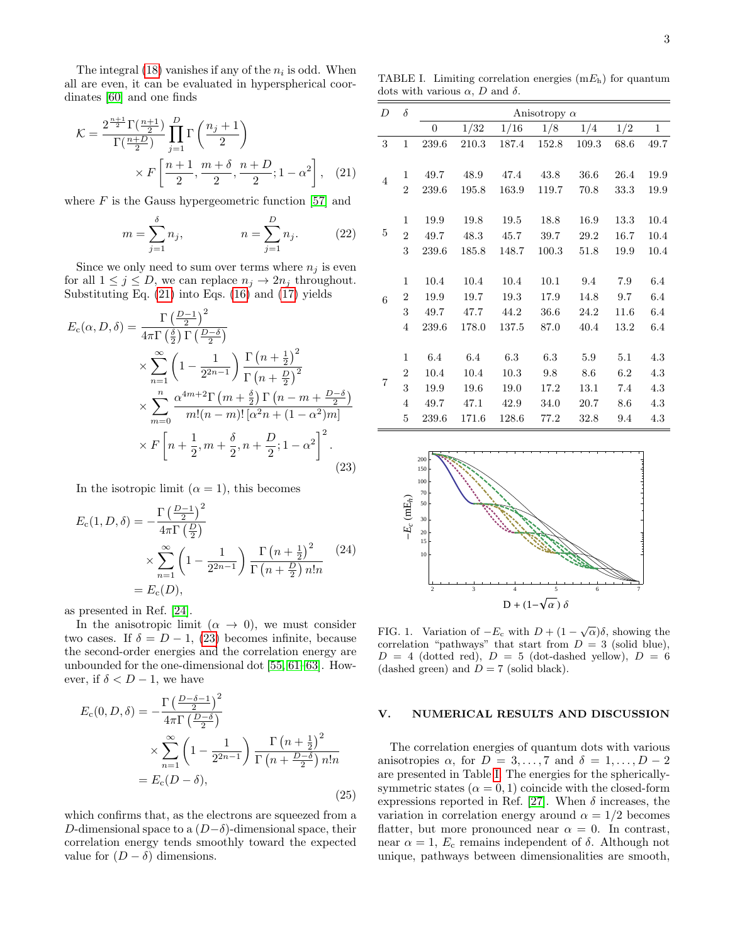The integral  $(18)$  vanishes if any of the  $n_i$  is odd. When all are even, it can be evaluated in hyperspherical coordinates [\[60\]](#page-4-26) and one finds

$$
\mathcal{K} = \frac{2^{\frac{n+1}{2}} \Gamma(\frac{n+1}{2})}{\Gamma(\frac{n+D}{2})} \prod_{j=1}^{D} \Gamma\left(\frac{n_j+1}{2}\right)
$$

$$
\times F\left[\frac{n+1}{2}, \frac{m+\delta}{2}, \frac{n+D}{2}; 1-\alpha^2\right], \quad (21)
$$

where  $F$  is the Gauss hypergeometric function [\[57\]](#page-4-21) and

$$
m = \sum_{j=1}^{\delta} n_j, \qquad n = \sum_{j=1}^{D} n_j.
$$
 (22)

Since we only need to sum over terms where  $n_j$  is even for all  $1 \leq j \leq D$ , we can replace  $n_j \to 2n_j$  throughout. Substituting Eq. [\(21\)](#page-2-1) into Eqs. [\(16\)](#page-1-3) and [\(17\)](#page-1-4) yields

<span id="page-2-2"></span>
$$
E_c(\alpha, D, \delta) = \frac{\Gamma\left(\frac{D-1}{2}\right)^2}{4\pi \Gamma\left(\frac{\delta}{2}\right) \Gamma\left(\frac{D-\delta}{2}\right)}
$$
  
\$\times \sum\_{n=1}^{\infty} \left(1 - \frac{1}{2^{2n-1}}\right) \frac{\Gamma\left(n + \frac{1}{2}\right)^2}{\Gamma\left(n + \frac{D}{2}\right)^2}\$  
\$\times \sum\_{m=0}^{n} \frac{\alpha^{4m+2} \Gamma\left(m + \frac{\delta}{2}\right) \Gamma\left(n - m + \frac{D-\delta}{2}\right)}{m!(n-m)!\left[\alpha^2 n + (1-\alpha^2)m\right]}\$  
\$\times F\left[n + \frac{1}{2}, m + \frac{\delta}{2}, n + \frac{D}{2}; 1-\alpha^2\right]^2\$. (23)

In the isotropic limit  $(\alpha = 1)$ , this becomes

$$
E_c(1, D, \delta) = -\frac{\Gamma\left(\frac{D-1}{2}\right)^2}{4\pi\Gamma\left(\frac{D}{2}\right)}
$$
  
 
$$
\times \sum_{n=1}^{\infty} \left(1 - \frac{1}{2^{2n-1}}\right) \frac{\Gamma\left(n + \frac{1}{2}\right)^2}{\Gamma\left(n + \frac{D}{2}\right) n! n}
$$
  
=  $E_c(D)$ , (24)

as presented in Ref. [\[24\]](#page-4-1).

In the anisotropic limit  $(\alpha \rightarrow 0)$ , we must consider two cases. If  $\delta = D - 1$ , [\(23\)](#page-2-2) becomes infinite, because the second-order energies and the correlation energy are unbounded for the one-dimensional dot [\[55,](#page-4-19) [61–](#page-4-27)[63\]](#page-4-28). However, if  $\delta < D - 1$ , we have

$$
E_c(0, D, \delta) = -\frac{\Gamma\left(\frac{D-\delta-1}{2}\right)^2}{4\pi\Gamma\left(\frac{D-\delta}{2}\right)}
$$
  
\$\times \sum\_{n=1}^{\infty} \left(1 - \frac{1}{2^{2n-1}}\right) \frac{\Gamma\left(n + \frac{1}{2}\right)^2}{\Gamma\left(n + \frac{D-\delta}{2}\right) n! n}\$  
=  $E_c(D - \delta)$ , (25)

which confirms that, as the electrons are squeezed from a D-dimensional space to a  $(D-\delta)$ -dimensional space, their correlation energy tends smoothly toward the expected value for  $(D - \delta)$  dimensions.

<span id="page-2-3"></span>TABLE I. Limiting correlation energies  $(mE<sub>h</sub>)$  for quantum dots with various  $\alpha$ , D and  $\delta$ .

<span id="page-2-1"></span>

| D              | $\delta$       | Anisotropy $\alpha$ |       |          |       |          |      |         |
|----------------|----------------|---------------------|-------|----------|-------|----------|------|---------|
|                |                | 0                   | 1/32  | 1/16     | 1/8   | 1/4      | 1/2  | $\,1$   |
| 3              | $\mathbf{1}$   | 239.6               | 210.3 | 187.4    | 152.8 | 109.3    | 68.6 | 49.7    |
|                |                |                     |       |          |       |          |      |         |
| $\overline{4}$ | 1              | 49.7                | 48.9  | 47.4     | 43.8  | 36.6     | 26.4 | 19.9    |
|                | $\overline{2}$ | 239.6               | 195.8 | 163.9    | 119.7 | 70.8     | 33.3 | 19.9    |
|                |                |                     |       |          |       |          |      |         |
| 5              | $\mathbf{1}$   | 19.9                | 19.8  | 19.5     | 18.8  | 16.9     | 13.3 | 10.4    |
|                | $\overline{2}$ | 49.7                | 48.3  | $45.7\,$ | 39.7  | $29.2\,$ | 16.7 | 10.4    |
|                | 3              | 239.6               | 185.8 | 148.7    | 100.3 | 51.8     | 19.9 | 10.4    |
|                |                |                     |       |          |       |          |      |         |
| 6              | 1              | 10.4                | 10.4  | 10.4     | 10.1  | 9.4      | 7.9  | 6.4     |
|                | $\overline{2}$ | 19.9                | 19.7  | 19.3     | 17.9  | 14.8     | 9.7  | 6.4     |
|                | $\sqrt{3}$     | 49.7                | 47.7  | 44.2     | 36.6  | 24.2     | 11.6 | 6.4     |
|                | $\overline{4}$ | 239.6               | 178.0 | 137.5    | 87.0  | 40.4     | 13.2 | 6.4     |
|                |                |                     |       |          |       |          |      |         |
| 7              | $\mathbf{1}$   | 6.4                 | 6.4   | 6.3      | 6.3   | 5.9      | 5.1  | $4.3\,$ |
|                | 2              | 10.4                | 10.4  | 10.3     | 9.8   | 8.6      | 6.2  | 4.3     |
|                | $\sqrt{3}$     | 19.9                | 19.6  | 19.0     | 17.2  | 13.1     | 7.4  | 4.3     |
|                | $\overline{4}$ | 49.7                | 47.1  | 42.9     | 34.0  | 20.7     | 8.6  | 4.3     |
|                | $\bf 5$        | 239.6               | 171.6 | 128.6    | 77.2  | 32.8     | 9.4  | 4.3     |



<span id="page-2-4"></span>FIG. 1. Variation of  $-E_c$  with  $D + (1 - \sqrt{\alpha})\delta$ , showing the correlation "pathways" that start from  $D = 3$  (solid blue),  $D = 4$  (dotted red),  $D = 5$  (dot-dashed yellow),  $D = 6$ (dashed green) and  $D = 7$  (solid black).

#### <span id="page-2-0"></span>V. NUMERICAL RESULTS AND DISCUSSION

The correlation energies of quantum dots with various anisotropies  $\alpha$ , for  $D = 3, \ldots, 7$  and  $\delta = 1, \ldots, D - 2$ are presented in Table [I.](#page-2-3) The energies for the sphericallysymmetric states  $(\alpha = 0, 1)$  coincide with the closed-form expressions reported in Ref. [\[27\]](#page-4-2). When  $\delta$  increases, the variation in correlation energy around  $\alpha = 1/2$  becomes flatter, but more pronounced near  $\alpha = 0$ . In contrast, near  $\alpha = 1$ ,  $E_c$  remains independent of  $\delta$ . Although not unique, pathways between dimensionalities are smooth,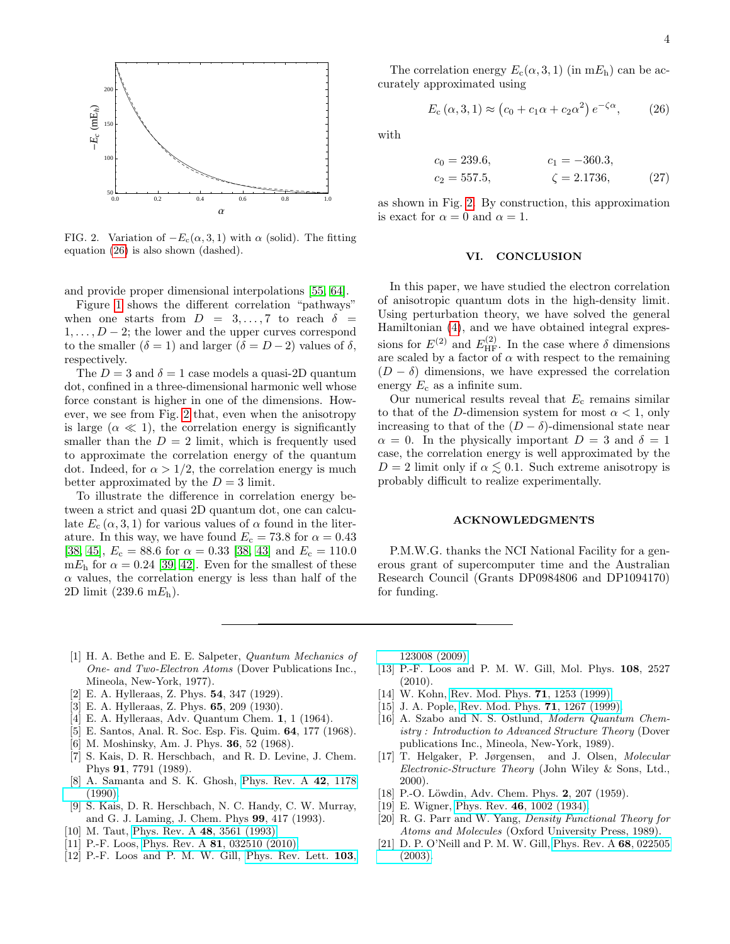

<span id="page-3-13"></span>FIG. 2. Variation of  $-E_c(\alpha, 3, 1)$  with  $\alpha$  (solid). The fitting equation [\(26\)](#page-3-12) is also shown (dashed).

and provide proper dimensional interpolations [\[55,](#page-4-19) [64\]](#page-4-29).

Figure [1](#page-2-4) shows the different correlation "pathways" when one starts from  $D = 3, \ldots, 7$  to reach  $\delta =$  $1, \ldots, D-2$ ; the lower and the upper curves correspond to the smaller  $(\delta = 1)$  and larger  $(\delta = D - 2)$  values of  $\delta$ , respectively.

The  $D = 3$  and  $\delta = 1$  case models a quasi-2D quantum dot, confined in a three-dimensional harmonic well whose force constant is higher in one of the dimensions. However, we see from Fig. [2](#page-3-13) that, even when the anisotropy is large  $(\alpha \ll 1)$ , the correlation energy is significantly smaller than the  $D = 2$  limit, which is frequently used to approximate the correlation energy of the quantum dot. Indeed, for  $\alpha > 1/2$ , the correlation energy is much better approximated by the  $D = 3$  limit.

To illustrate the difference in correlation energy between a strict and quasi 2D quantum dot, one can calculate  $E_c(\alpha, 3, 1)$  for various values of  $\alpha$  found in the literature. In this way, we have found  $E_c = 73.8$  for  $\alpha = 0.43$ [\[38,](#page-4-7) [45\]](#page-4-13),  $E_c = 88.6$  for  $\alpha = 0.33$  [\[38,](#page-4-7) [43\]](#page-4-11) and  $E_c = 110.0$ m $E<sub>h</sub>$  for  $\alpha = 0.24$  [\[39,](#page-4-30) [42\]](#page-4-10). Even for the smallest of these  $\alpha$  values, the correlation energy is less than half of the 2D limit  $(239.6 \text{ m} E_{\text{h}})$ .

The correlation energy  $E_c(\alpha, 3, 1)$  (in m $E_h$ ) can be accurately approximated using

<span id="page-3-12"></span>
$$
E_{\rm c}(\alpha,3,1) \approx (c_0 + c_1\alpha + c_2\alpha^2) e^{-\zeta\alpha}, \qquad (26)
$$

with

$$
c_0 = 239.6,
$$
  $c_1 = -360.3,$   
\n $c_2 = 557.5,$   $\zeta = 2.1736,$  (27)

as shown in Fig. [2.](#page-3-13) By construction, this approximation is exact for  $\alpha = 0$  and  $\alpha = 1$ .

### VI. CONCLUSION

In this paper, we have studied the electron correlation of anisotropic quantum dots in the high-density limit. Using perturbation theory, we have solved the general Hamiltonian [\(4\)](#page-1-5), and we have obtained integral expressions for  $E^{(2)}$  and  $E^{(2)}_{HF}$ . In the case where  $\delta$  dimensions are scaled by a factor of  $\alpha$  with respect to the remaining  $(D - \delta)$  dimensions, we have expressed the correlation energy  $E_c$  as a infinite sum.

Our numerical results reveal that  $E_c$  remains similar to that of the D-dimension system for most  $\alpha < 1$ , only increasing to that of the  $(D - \delta)$ -dimensional state near  $\alpha = 0$ . In the physically important  $D = 3$  and  $\delta = 1$ case, the correlation energy is well approximated by the  $D = 2$  limit only if  $\alpha \leq 0.1$ . Such extreme anisotropy is probably difficult to realize experimentally.

### ACKNOWLEDGMENTS

P.M.W.G. thanks the NCI National Facility for a generous grant of supercomputer time and the Australian Research Council (Grants DP0984806 and DP1094170) for funding.

- <span id="page-3-0"></span>[1] H. A. Bethe and E. E. Salpeter, Quantum Mechanics of One- and Two-Electron Atoms (Dover Publications Inc., Mineola, New-York, 1977).
- [2] E. A. Hylleraas, Z. Phys. 54, 347 (1929).
- [3] E. A. Hylleraas, Z. Phys. 65, 209 (1930).
- <span id="page-3-1"></span>[4] E. A. Hylleraas, Adv. Quantum Chem. 1, 1 (1964).
- <span id="page-3-2"></span>[5] E. Santos, Anal. R. Soc. Esp. Fis. Quim. 64, 177 (1968).
- [6] M. Moshinsky, Am. J. Phys. 36, 52 (1968).
- [7] S. Kais, D. R. Herschbach, and R. D. Levine, J. Chem. Phys 91, 7791 (1989).
- [8] A. Samanta and S. K. Ghosh, [Phys. Rev. A](http://dx.doi.org/10.1103/PhysRevA.42.1178) 42, 1178 [\(1990\).](http://dx.doi.org/10.1103/PhysRevA.42.1178)
- [9] S. Kais, D. R. Herschbach, N. C. Handy, C. W. Murray, and G. J. Laming, J. Chem. Phys 99, 417 (1993).
- [10] M. Taut, [Phys. Rev. A](http://dx.doi.org/10.1103/PhysRevA.48.3561) 48, 3561 (1993).
- [11] P.-F. Loos, Phys. Rev. A **81**[, 032510 \(2010\).](http://dx.doi.org/10.1103/PhysRevA.81.032510)
- [12] P.-F. Loos and P. M. W. Gill, [Phys. Rev. Lett.](http://dx.doi.org/10.1103/PhysRevLett.103.123008) 103,

[123008 \(2009\).](http://dx.doi.org/10.1103/PhysRevLett.103.123008)

- <span id="page-3-3"></span>[13] P.-F. Loos and P. M. W. Gill, Mol. Phys. 108, 2527 (2010).
- <span id="page-3-4"></span>[14] W. Kohn, [Rev. Mod. Phys.](http://dx.doi.org/10.1103/RevModPhys.71.1253) **71**, 1253 (1999).
- <span id="page-3-5"></span>[15] J. A. Pople, [Rev. Mod. Phys.](http://dx.doi.org/10.1103/RevModPhys.71.1267) **71**, 1267 (1999).
- <span id="page-3-6"></span>[16] A. Szabo and N. S. Ostlund, Modern Quantum Chemistry : Introduction to Advanced Structure Theory (Dover publications Inc., Mineola, New-York, 1989).
- <span id="page-3-7"></span>[17] T. Helgaker, P. Jørgensen, and J. Olsen, Molecular Electronic-Structure Theory (John Wiley & Sons, Ltd., 2000).
- <span id="page-3-8"></span>[18] P.-O. Löwdin, Adv. Chem. Phys. 2, 207 (1959).
- <span id="page-3-9"></span>[19] E. Wigner, Phys. Rev. 46[, 1002 \(1934\).](http://dx.doi.org/10.1103/PhysRev.46.1002)
- <span id="page-3-10"></span>[20] R. G. Parr and W. Yang, Density Functional Theory for Atoms and Molecules (Oxford University Press, 1989).
- <span id="page-3-11"></span>[21] D. P. O'Neill and P. M. W. Gill, [Phys. Rev. A](http://dx.doi.org/10.1103/PhysRevA.68.022505) 68, 022505 [\(2003\).](http://dx.doi.org/10.1103/PhysRevA.68.022505)